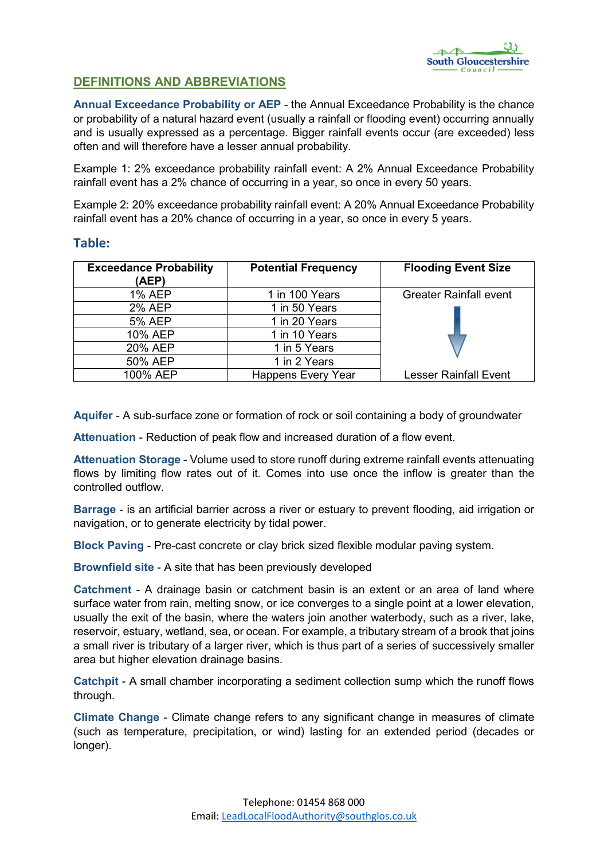

## DEFINITIONS AND ABBREVIATIONS

Annual Exceedance Probability or AEP - the Annual Exceedance Probability is the chance or probability of a natural hazard event (usually a rainfall or flooding event) occurring annually and is usually expressed as a percentage. Bigger rainfall events occur (are exceeded) less often and will therefore have a lesser annual probability.

Example 1: 2% exceedance probability rainfall event: A 2% Annual Exceedance Probability rainfall event has a 2% chance of occurring in a year, so once in every 50 years.

Example 2: 20% exceedance probability rainfall event: A 20% Annual Exceedance Probability rainfall event has a 20% chance of occurring in a year, so once in every 5 years.

## Table:

| <b>Exceedance Probability</b><br>(AEP) | <b>Potential Frequency</b> | <b>Flooding Event Size</b>    |
|----------------------------------------|----------------------------|-------------------------------|
| <b>1% AEP</b>                          | 1 in 100 Years             | <b>Greater Rainfall event</b> |
| <b>2% AEP</b>                          | 1 in 50 Years              |                               |
| <b>5% AEP</b>                          | 1 in 20 Years              |                               |
| 10% AEP                                | 1 in 10 Years              |                               |
| 20% AEP                                | 1 in 5 Years               |                               |
| 50% AEP                                | 1 in 2 Years               |                               |
| 100% AEP                               | <b>Happens Every Year</b>  | <b>Lesser Rainfall Event</b>  |

Aquifer - A sub-surface zone or formation of rock or soil containing a body of groundwater

Attenuation - Reduction of peak flow and increased duration of a flow event.

Attenuation Storage - Volume used to store runoff during extreme rainfall events attenuating flows by limiting flow rates out of it. Comes into use once the inflow is greater than the controlled outflow.

Barrage - is an artificial barrier across a river or estuary to prevent flooding, aid irrigation or navigation, or to generate electricity by tidal power.

Block Paving - Pre-cast concrete or clay brick sized flexible modular paving system.

Brownfield site - A site that has been previously developed

Catchment - A drainage basin or catchment basin is an extent or an area of land where surface water from rain, melting snow, or ice converges to a single point at a lower elevation, usually the exit of the basin, where the waters join another waterbody, such as a river, lake, reservoir, estuary, wetland, sea, or ocean. For example, a tributary stream of a brook that joins a small river is tributary of a larger river, which is thus part of a series of successively smaller area but higher elevation drainage basins.

Catchpit - A small chamber incorporating a sediment collection sump which the runoff flows through.

Climate Change - Climate change refers to any significant change in measures of climate (such as temperature, precipitation, or wind) lasting for an extended period (decades or longer).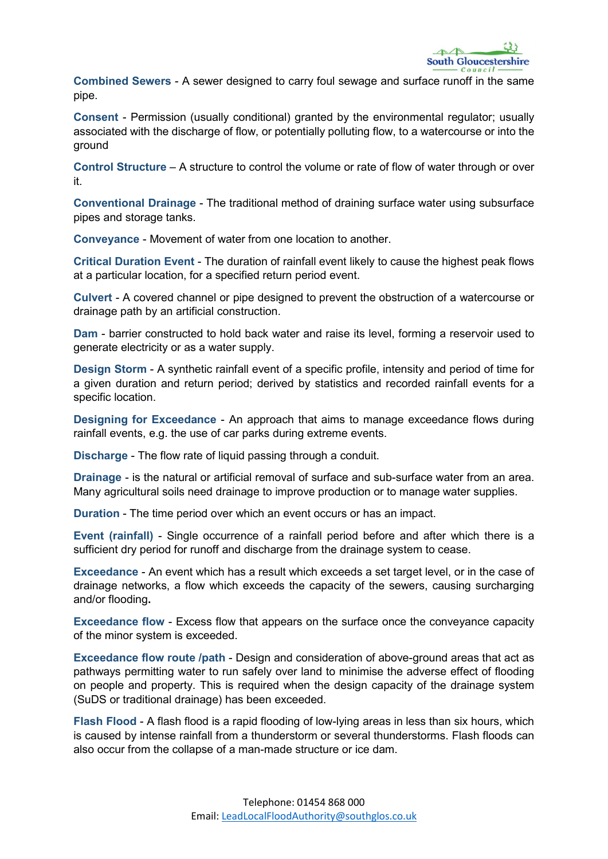Combined Sewers - A sewer designed to carry foul sewage and surface runoff in the same pipe.

Consent - Permission (usually conditional) granted by the environmental regulator; usually associated with the discharge of flow, or potentially polluting flow, to a watercourse or into the ground

Control Structure – A structure to control the volume or rate of flow of water through or over it.

Conventional Drainage - The traditional method of draining surface water using subsurface pipes and storage tanks.

Conveyance - Movement of water from one location to another.

Critical Duration Event - The duration of rainfall event likely to cause the highest peak flows at a particular location, for a specified return period event.

Culvert - A covered channel or pipe designed to prevent the obstruction of a watercourse or drainage path by an artificial construction.

Dam - barrier constructed to hold back water and raise its level, forming a reservoir used to generate electricity or as a water supply.

Design Storm - A synthetic rainfall event of a specific profile, intensity and period of time for a given duration and return period; derived by statistics and recorded rainfall events for a specific location.

Designing for Exceedance - An approach that aims to manage exceedance flows during rainfall events, e.g. the use of car parks during extreme events.

Discharge - The flow rate of liquid passing through a conduit.

Drainage - is the natural or artificial removal of surface and sub-surface water from an area. Many agricultural soils need drainage to improve production or to manage water supplies.

Duration - The time period over which an event occurs or has an impact.

Event (rainfall) - Single occurrence of a rainfall period before and after which there is a sufficient dry period for runoff and discharge from the drainage system to cease.

Exceedance - An event which has a result which exceeds a set target level, or in the case of drainage networks, a flow which exceeds the capacity of the sewers, causing surcharging and/or flooding.

Exceedance flow - Excess flow that appears on the surface once the conveyance capacity of the minor system is exceeded.

Exceedance flow route /path - Design and consideration of above-ground areas that act as pathways permitting water to run safely over land to minimise the adverse effect of flooding on people and property. This is required when the design capacity of the drainage system (SuDS or traditional drainage) has been exceeded.

Flash Flood - A flash flood is a rapid flooding of low-lying areas in less than six hours, which is caused by intense rainfall from a thunderstorm or several thunderstorms. Flash floods can also occur from the collapse of a man-made structure or ice dam.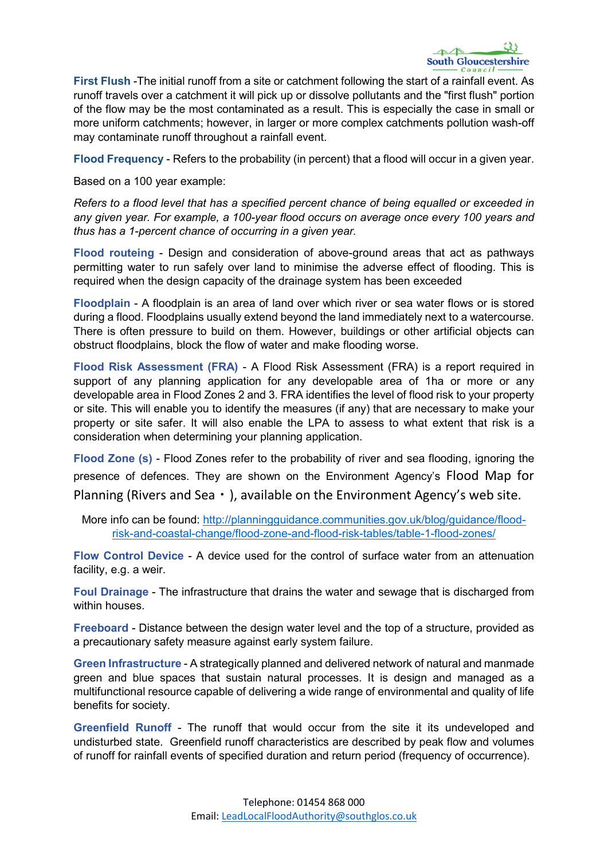

First Flush -The initial runoff from a site or catchment following the start of a rainfall event. As runoff travels over a catchment it will pick up or dissolve pollutants and the "first flush" portion of the flow may be the most contaminated as a result. This is especially the case in small or more uniform catchments; however, in larger or more complex catchments pollution wash-off may contaminate runoff throughout a rainfall event.

Flood Frequency - Refers to the probability (in percent) that a flood will occur in a given year.

Based on a 100 year example:

*Refers to a flood level that has a specified percent chance of being equalled or exceeded in any given year. For example, a 100-year flood occurs on average once every 100 years and thus has a 1-percent chance of occurring in a given year.*

Flood routeing - Design and consideration of above-ground areas that act as pathways permitting water to run safely over land to minimise the adverse effect of flooding. This is required when the design capacity of the drainage system has been exceeded

Floodplain - A floodplain is an area of land over which river or sea water flows or is stored during a flood. Floodplains usually extend beyond the land immediately next to a watercourse. There is often pressure to build on them. However, buildings or other artificial objects can obstruct floodplains, block the flow of water and make flooding worse.

Flood Risk Assessment (FRA) - A Flood Risk Assessment (FRA) is a report required in support of any planning application for any developable area of 1ha or more or any developable area in Flood Zones 2 and 3. FRA identifies the level of flood risk to your property or site. This will enable you to identify the measures (if any) that are necessary to make your property or site safer. It will also enable the LPA to assess to what extent that risk is a consideration when determining your planning application.

Flood Zone (s) - Flood Zones refer to the probability of river and sea flooding, ignoring the presence of defences. They are shown on the Environment Agency's Flood Map for Planning (Rivers and Sea  $\cdot$  ), available on the Environment Agency's web site.

More info can be found: [http://planningguidance.communities.gov.uk/blog/guidance/flood](http://planningguidance.communities.gov.uk/blog/guidance/flood-risk-and-coastal-change/flood-zone-and-flood-risk-tables/table-1-flood-zones/)[risk-and-coastal-change/flood-zone-and-flood-risk-tables/table-1-flood-zones/](http://planningguidance.communities.gov.uk/blog/guidance/flood-risk-and-coastal-change/flood-zone-and-flood-risk-tables/table-1-flood-zones/)

Flow Control Device - A device used for the control of surface water from an attenuation facility, e.g. a weir.

Foul Drainage - The infrastructure that drains the water and sewage that is discharged from within houses.

Freeboard - Distance between the design water level and the top of a structure, provided as a precautionary safety measure against early system failure.

Green Infrastructure - A strategically planned and delivered network of natural and manmade green and blue spaces that sustain natural processes. It is design and managed as a multifunctional resource capable of delivering a wide range of environmental and quality of life benefits for society.

Greenfield Runoff - The runoff that would occur from the site it its undeveloped and undisturbed state. Greenfield runoff characteristics are described by peak flow and volumes of runoff for rainfall events of specified duration and return period (frequency of occurrence).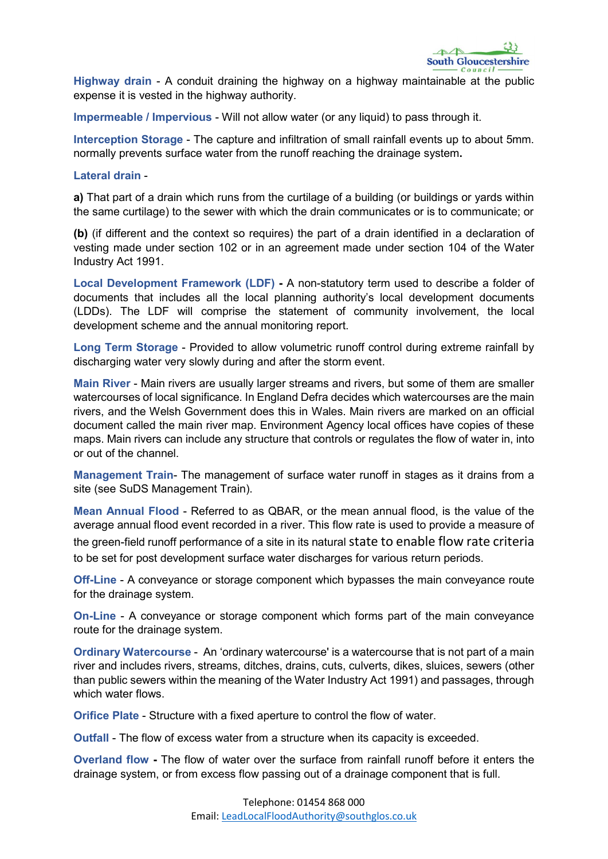Highway drain - A conduit draining the highway on a highway maintainable at the public expense it is vested in the highway authority.

Impermeable / Impervious - Will not allow water (or any liquid) to pass through it.

Interception Storage - The capture and infiltration of small rainfall events up to about 5mm. normally prevents surface water from the runoff reaching the drainage system.

## Lateral drain -

a) That part of a drain which runs from the curtilage of a building (or buildings or vards within the same curtilage) to the sewer with which the drain communicates or is to communicate; or

(b) (if different and the context so requires) the part of a drain identified in a declaration of vesting made under section 102 or in an agreement made under section 104 of the Water Industry Act 1991.

Local Development Framework (LDF) - A non-statutory term used to describe a folder of documents that includes all the local planning authority's local development documents (LDDs). The LDF will comprise the statement of community involvement, the local development scheme and the annual monitoring report.

Long Term Storage - Provided to allow volumetric runoff control during extreme rainfall by discharging water very slowly during and after the storm event.

Main River - Main rivers are usually larger streams and rivers, but some of them are smaller watercourses of local significance. In England Defra decides which watercourses are the main rivers, and the Welsh Government does this in Wales. Main rivers are marked on an official document called the main river map. Environment Agency local offices have copies of these maps. Main rivers can include any structure that controls or regulates the flow of water in, into or out of the channel.

Management Train- The management of surface water runoff in stages as it drains from a site (see SuDS Management Train).

Mean Annual Flood - Referred to as QBAR, or the mean annual flood, is the value of the average annual flood event recorded in a river. This flow rate is used to provide a measure of the green-field runoff performance of a site in its natural state to enable flow rate criteria to be set for post development surface water discharges for various return periods.

Off-Line - A conveyance or storage component which bypasses the main conveyance route for the drainage system.

On-Line - A conveyance or storage component which forms part of the main conveyance route for the drainage system.

Ordinary Watercourse - An 'ordinary watercourse' is a watercourse that is not part of a main river and includes rivers, streams, ditches, drains, cuts, culverts, dikes, sluices, sewers (other than public sewers within the meaning of the Water Industry Act 1991) and passages, through which water flows.

Orifice Plate - Structure with a fixed aperture to control the flow of water.

Outfall - The flow of excess water from a structure when its capacity is exceeded.

Overland flow - The flow of water over the surface from rainfall runoff before it enters the drainage system, or from excess flow passing out of a drainage component that is full.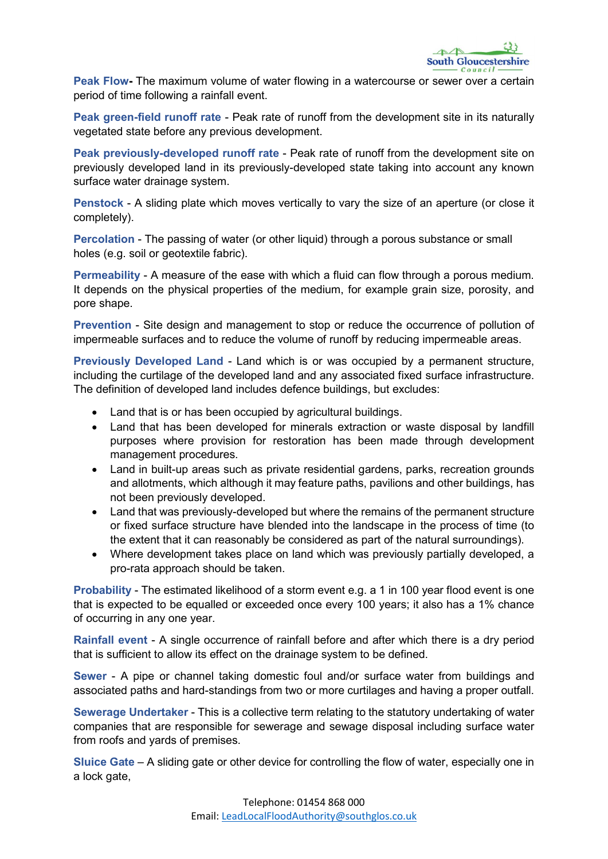Peak Flow- The maximum volume of water flowing in a watercourse or sewer over a certain period of time following a rainfall event.

Peak green-field runoff rate - Peak rate of runoff from the development site in its naturally vegetated state before any previous development.

Peak previously-developed runoff rate - Peak rate of runoff from the development site on previously developed land in its previously-developed state taking into account any known surface water drainage system.

Penstock - A sliding plate which moves vertically to vary the size of an aperture (or close it completely).

Percolation - The passing of water (or other liquid) through a porous substance or small holes (e.g. soil or geotextile fabric).

Permeability - A measure of the ease with which a fluid can flow through a porous medium. It depends on the physical properties of the medium, for example grain size, porosity, and pore shape.

Prevention - Site design and management to stop or reduce the occurrence of pollution of impermeable surfaces and to reduce the volume of runoff by reducing impermeable areas.

Previously Developed Land - Land which is or was occupied by a permanent structure, including the curtilage of the developed land and any associated fixed surface infrastructure. The definition of developed land includes defence buildings, but excludes:

- Land that is or has been occupied by agricultural buildings.
- Land that has been developed for minerals extraction or waste disposal by landfill purposes where provision for restoration has been made through development management procedures.
- Land in built-up areas such as private residential gardens, parks, recreation grounds and allotments, which although it may feature paths, pavilions and other buildings, has not been previously developed.
- Land that was previously-developed but where the remains of the permanent structure or fixed surface structure have blended into the landscape in the process of time (to the extent that it can reasonably be considered as part of the natural surroundings).
- Where development takes place on land which was previously partially developed, a pro-rata approach should be taken.

Probability - The estimated likelihood of a storm event e.g. a 1 in 100 year flood event is one that is expected to be equalled or exceeded once every 100 years; it also has a 1% chance of occurring in any one year.

Rainfall event - A single occurrence of rainfall before and after which there is a dry period that is sufficient to allow its effect on the drainage system to be defined.

Sewer - A pipe or channel taking domestic foul and/or surface water from buildings and associated paths and hard-standings from two or more curtilages and having a proper outfall.

Sewerage Undertaker - This is a collective term relating to the statutory undertaking of water companies that are responsible for sewerage and sewage disposal including surface water from roofs and yards of premises.

Sluice Gate – A sliding gate or other device for controlling the flow of water, especially one in a lock gate,